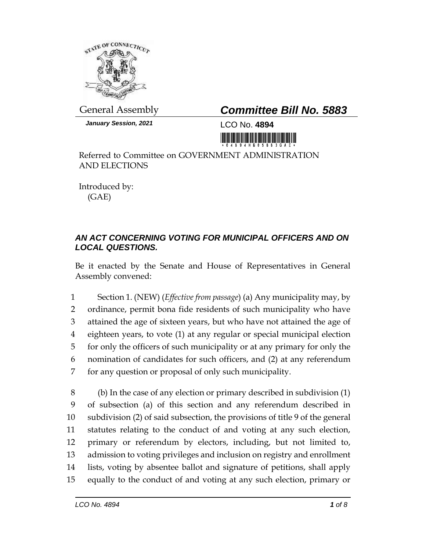

*January Session, 2021* LCO No. **4894**

## General Assembly *Committee Bill No. 5883*

Referred to Committee on GOVERNMENT ADMINISTRATION AND ELECTIONS

Introduced by: (GAE)

## *AN ACT CONCERNING VOTING FOR MUNICIPAL OFFICERS AND ON LOCAL QUESTIONS.*

Be it enacted by the Senate and House of Representatives in General Assembly convened:

 Section 1. (NEW) (*Effective from passage*) (a) Any municipality may, by ordinance, permit bona fide residents of such municipality who have attained the age of sixteen years, but who have not attained the age of eighteen years, to vote (1) at any regular or special municipal election for only the officers of such municipality or at any primary for only the nomination of candidates for such officers, and (2) at any referendum for any question or proposal of only such municipality.

 (b) In the case of any election or primary described in subdivision (1) of subsection (a) of this section and any referendum described in subdivision (2) of said subsection, the provisions of title 9 of the general statutes relating to the conduct of and voting at any such election, primary or referendum by electors, including, but not limited to, admission to voting privileges and inclusion on registry and enrollment lists, voting by absentee ballot and signature of petitions, shall apply equally to the conduct of and voting at any such election, primary or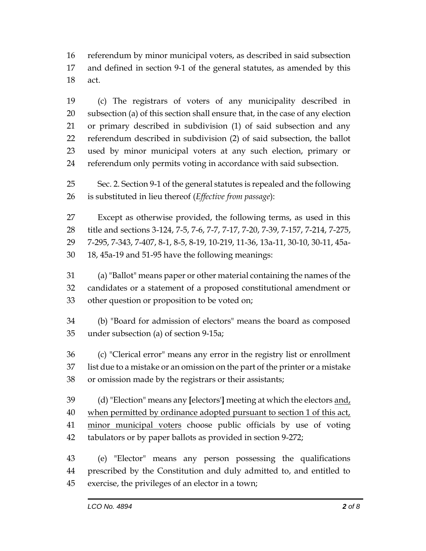referendum by minor municipal voters, as described in said subsection and defined in section 9-1 of the general statutes, as amended by this act.

 (c) The registrars of voters of any municipality described in subsection (a) of this section shall ensure that, in the case of any election or primary described in subdivision (1) of said subsection and any referendum described in subdivision (2) of said subsection, the ballot used by minor municipal voters at any such election, primary or referendum only permits voting in accordance with said subsection.

 Sec. 2. Section 9-1 of the general statutes is repealed and the following is substituted in lieu thereof (*Effective from passage*):

 Except as otherwise provided, the following terms, as used in this title and sections 3-124, 7-5, 7-6, 7-7, 7-17, 7-20, 7-39, 7-157, 7-214, 7-275, 7-295, 7-343, 7-407, 8-1, 8-5, 8-19, 10-219, 11-36, 13a-11, 30-10, 30-11, 45a-18, 45a-19 and 51-95 have the following meanings:

 (a) "Ballot" means paper or other material containing the names of the candidates or a statement of a proposed constitutional amendment or other question or proposition to be voted on;

 (b) "Board for admission of electors" means the board as composed under subsection (a) of section 9-15a;

 (c) "Clerical error" means any error in the registry list or enrollment list due to a mistake or an omission on the part of the printer or a mistake or omission made by the registrars or their assistants;

 (d) "Election" means any **[**electors'**]** meeting at which the electors and, 40 when permitted by ordinance adopted pursuant to section 1 of this act, 41 minor municipal voters choose public officials by use of voting tabulators or by paper ballots as provided in section 9-272;

 (e) "Elector" means any person possessing the qualifications prescribed by the Constitution and duly admitted to, and entitled to exercise, the privileges of an elector in a town;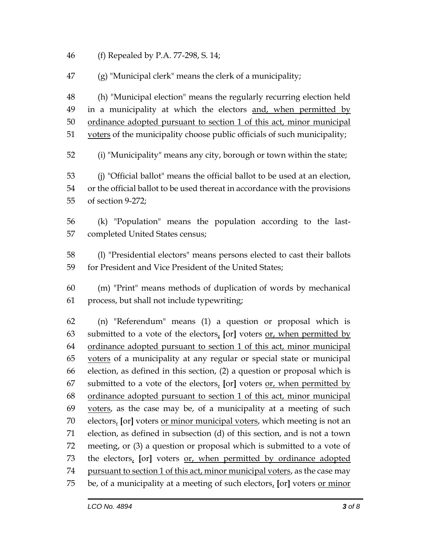(f) Repealed by P.A. 77-298, S. 14;

(g) "Municipal clerk" means the clerk of a municipality;

 (h) "Municipal election" means the regularly recurring election held in a municipality at which the electors and, when permitted by ordinance adopted pursuant to section 1 of this act, minor municipal voters of the municipality choose public officials of such municipality;

(i) "Municipality" means any city, borough or town within the state;

 (j) "Official ballot" means the official ballot to be used at an election, or the official ballot to be used thereat in accordance with the provisions of section 9-272;

 (k) "Population" means the population according to the last-completed United States census;

 (l) "Presidential electors" means persons elected to cast their ballots for President and Vice President of the United States;

 (m) "Print" means methods of duplication of words by mechanical process, but shall not include typewriting;

 (n) "Referendum" means (1) a question or proposal which is submitted to a vote of the electors, **[**or**]** voters or, when permitted by ordinance adopted pursuant to section 1 of this act, minor municipal voters of a municipality at any regular or special state or municipal election, as defined in this section, (2) a question or proposal which is submitted to a vote of the electors, **[**or**]** voters or, when permitted by ordinance adopted pursuant to section 1 of this act, minor municipal voters, as the case may be, of a municipality at a meeting of such electors, **[**or**]** voters or minor municipal voters, which meeting is not an election, as defined in subsection (d) of this section, and is not a town meeting, or (3) a question or proposal which is submitted to a vote of the electors, **[**or**]** voters or, when permitted by ordinance adopted 74 pursuant to section 1 of this act, minor municipal voters, as the case may be, of a municipality at a meeting of such electors, **[**or**]** voters or minor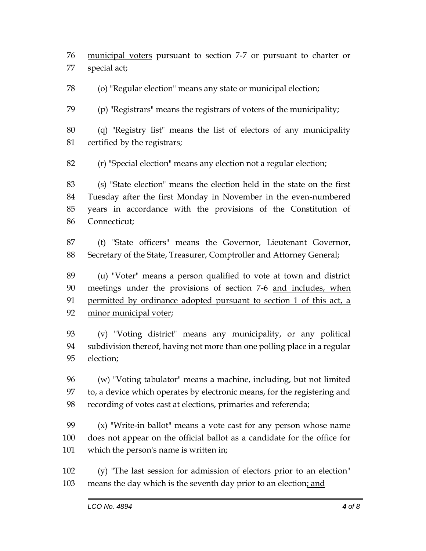municipal voters pursuant to section 7-7 or pursuant to charter or special act;

(o) "Regular election" means any state or municipal election;

(p) "Registrars" means the registrars of voters of the municipality;

 (q) "Registry list" means the list of electors of any municipality certified by the registrars;

(r) "Special election" means any election not a regular election;

 (s) "State election" means the election held in the state on the first Tuesday after the first Monday in November in the even-numbered years in accordance with the provisions of the Constitution of Connecticut;

 (t) "State officers" means the Governor, Lieutenant Governor, Secretary of the State, Treasurer, Comptroller and Attorney General;

 (u) "Voter" means a person qualified to vote at town and district meetings under the provisions of section 7-6 and includes, when permitted by ordinance adopted pursuant to section 1 of this act, a minor municipal voter;

 (v) "Voting district" means any municipality, or any political subdivision thereof, having not more than one polling place in a regular election;

 (w) "Voting tabulator" means a machine, including, but not limited to, a device which operates by electronic means, for the registering and recording of votes cast at elections, primaries and referenda;

 (x) "Write-in ballot" means a vote cast for any person whose name does not appear on the official ballot as a candidate for the office for which the person's name is written in;

 (y) "The last session for admission of electors prior to an election" 103 means the day which is the seventh day prior to an election; and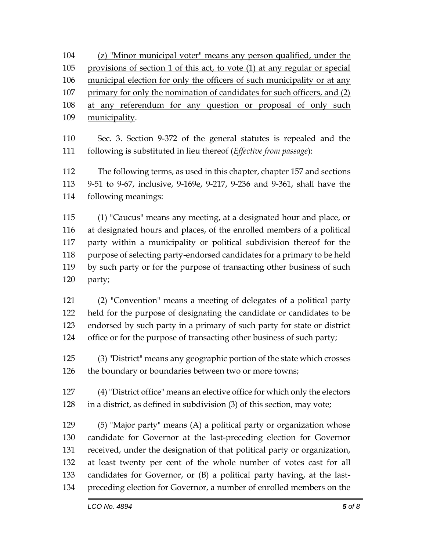(z) "Minor municipal voter" means any person qualified, under the provisions of section 1 of this act, to vote (1) at any regular or special municipal election for only the officers of such municipality or at any primary for only the nomination of candidates for such officers, and (2) at any referendum for any question or proposal of only such municipality.

 Sec. 3. Section 9-372 of the general statutes is repealed and the following is substituted in lieu thereof (*Effective from passage*):

 The following terms, as used in this chapter, chapter 157 and sections 9-51 to 9-67, inclusive, 9-169e, 9-217, 9-236 and 9-361, shall have the following meanings:

 (1) "Caucus" means any meeting, at a designated hour and place, or at designated hours and places, of the enrolled members of a political party within a municipality or political subdivision thereof for the purpose of selecting party-endorsed candidates for a primary to be held by such party or for the purpose of transacting other business of such party;

 (2) "Convention" means a meeting of delegates of a political party held for the purpose of designating the candidate or candidates to be endorsed by such party in a primary of such party for state or district office or for the purpose of transacting other business of such party;

 (3) "District" means any geographic portion of the state which crosses the boundary or boundaries between two or more towns;

 (4) "District office" means an elective office for which only the electors in a district, as defined in subdivision (3) of this section, may vote;

 (5) "Major party" means (A) a political party or organization whose candidate for Governor at the last-preceding election for Governor received, under the designation of that political party or organization, at least twenty per cent of the whole number of votes cast for all candidates for Governor, or (B) a political party having, at the last-preceding election for Governor, a number of enrolled members on the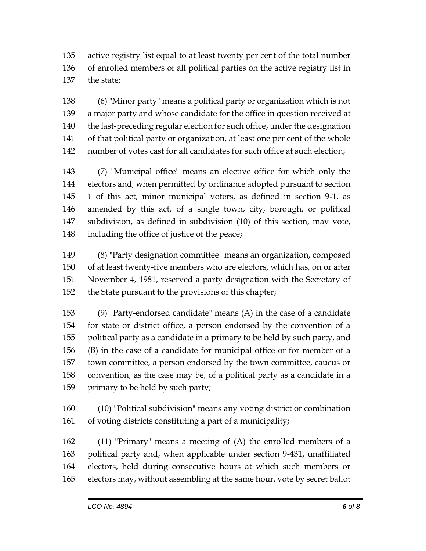active registry list equal to at least twenty per cent of the total number of enrolled members of all political parties on the active registry list in the state;

 (6) "Minor party" means a political party or organization which is not a major party and whose candidate for the office in question received at the last-preceding regular election for such office, under the designation of that political party or organization, at least one per cent of the whole number of votes cast for all candidates for such office at such election;

 (7) "Municipal office" means an elective office for which only the electors and, when permitted by ordinance adopted pursuant to section 1 of this act, minor municipal voters, as defined in section 9-1, as amended by this act, of a single town, city, borough, or political subdivision, as defined in subdivision (10) of this section, may vote, including the office of justice of the peace;

 (8) "Party designation committee" means an organization, composed of at least twenty-five members who are electors, which has, on or after November 4, 1981, reserved a party designation with the Secretary of the State pursuant to the provisions of this chapter;

 (9) "Party-endorsed candidate" means (A) in the case of a candidate for state or district office, a person endorsed by the convention of a political party as a candidate in a primary to be held by such party, and (B) in the case of a candidate for municipal office or for member of a town committee, a person endorsed by the town committee, caucus or convention, as the case may be, of a political party as a candidate in a primary to be held by such party;

 (10) "Political subdivision" means any voting district or combination of voting districts constituting a part of a municipality;

162 (11) "Primary" means a meeting of  $(A)$  the enrolled members of a political party and, when applicable under section 9-431, unaffiliated electors, held during consecutive hours at which such members or electors may, without assembling at the same hour, vote by secret ballot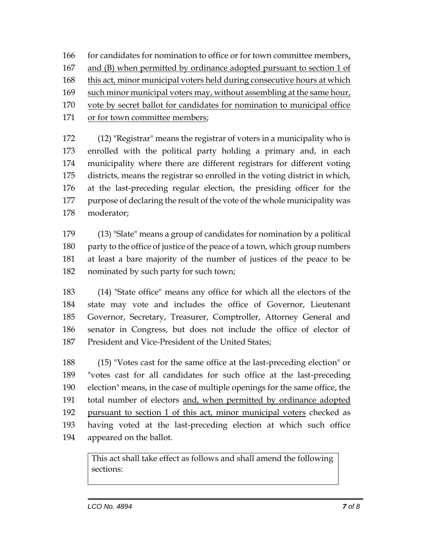166 for candidates for nomination to office or for town committee members, and (B) when permitted by ordinance adopted pursuant to section 1 of 168 this act, minor municipal voters held during consecutive hours at which such minor municipal voters may, without assembling at the same hour, vote by secret ballot for candidates for nomination to municipal office

or for town committee members;

 (12) "Registrar" means the registrar of voters in a municipality who is enrolled with the political party holding a primary and, in each municipality where there are different registrars for different voting districts, means the registrar so enrolled in the voting district in which, at the last-preceding regular election, the presiding officer for the purpose of declaring the result of the vote of the whole municipality was moderator;

 (13) "Slate" means a group of candidates for nomination by a political 180 party to the office of justice of the peace of a town, which group numbers at least a bare majority of the number of justices of the peace to be nominated by such party for such town;

 (14) "State office" means any office for which all the electors of the state may vote and includes the office of Governor, Lieutenant Governor, Secretary, Treasurer, Comptroller, Attorney General and senator in Congress, but does not include the office of elector of President and Vice-President of the United States;

 (15) "Votes cast for the same office at the last-preceding election" or "votes cast for all candidates for such office at the last-preceding election" means, in the case of multiple openings for the same office, the total number of electors and, when permitted by ordinance adopted pursuant to section 1 of this act, minor municipal voters checked as having voted at the last-preceding election at which such office appeared on the ballot.

> This act shall take effect as follows and shall amend the following sections: